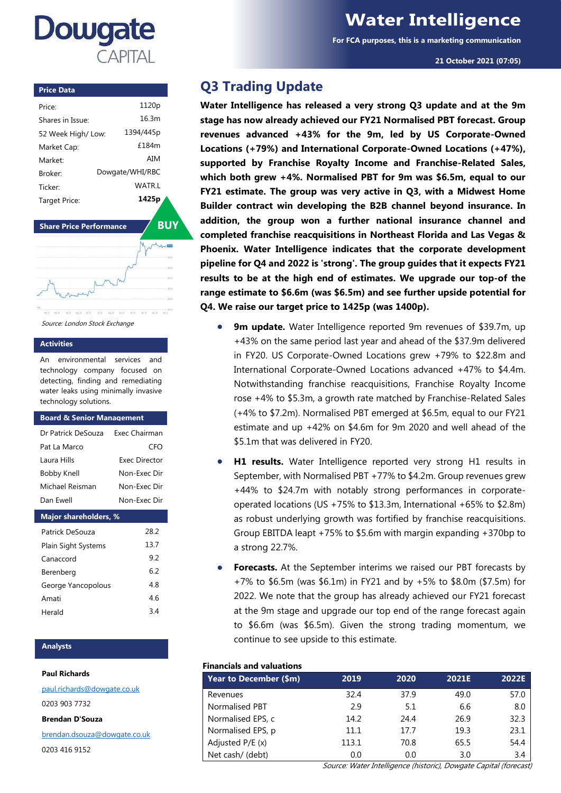

# **Water Intelligence**

**For FCA purposes, this is a marketing communication**

**21 October 2021 (07:05)**

#### **Price Data**

| Price <sup>.</sup>  | 1120 <sub>p</sub> |
|---------------------|-------------------|
| Shares in Issue:    | 16.3m             |
| 52 Week High/ Low:  | 1394/445p         |
| Market Cap:         | f184m             |
| Market <sup>.</sup> | AIM               |
| <b>Broker</b>       | Dowgate/WHI/RBC   |
| <b>Ticker</b>       | WATR I            |
| Target Price:       | 1425p             |

**Share Price Performance** / **BUY** 



Source: London Stock Exchange

## **Activities**

An environmental services and technology company focused on detecting, finding and remediating water leaks using minimally invasive technology solutions.

#### **Board & Senior Management**

| Dr Patrick DeSouza           | Exec Chairman        |  |  |  |
|------------------------------|----------------------|--|--|--|
| Pat La Marco                 | CFO                  |  |  |  |
| Laura Hills                  | <b>Fxec Director</b> |  |  |  |
| Bobby Knell                  | Non-Fxec Dir         |  |  |  |
| Michael Reisman              | Non-Fxec Dir         |  |  |  |
| Dan Fwell                    | Non-Fxec Dir         |  |  |  |
| <b>Major shareholders, %</b> |                      |  |  |  |
| Patrick DeSouza              | 28.2                 |  |  |  |

| Plain Sight Systems | 13.7 |
|---------------------|------|
| Canaccord           | 92   |
| Berenberg           | 62   |
| George Yancopolous  | 48   |
| Amati               | 46   |
| Herald              | 34   |

## **Analysts**

#### **Paul Richards**

[paul.richards@dowgate.co.uk](mailto:paul.richards@dowgate.co.uk) 0203 903 7732 **Brendan D'Souza**

[brendan.dsouza@dowgate.co.uk](mailto:brendan.dsouza@dowgate.co.uk)

0203 416 9152

## **Q3 Trading Update**

**Water Intelligence has released a very strong Q3 update and at the 9m stage has now already achieved our FY21 Normalised PBT forecast. Group revenues advanced +43% for the 9m, led by US Corporate-Owned Locations (+79%) and International Corporate-Owned Locations (+47%), supported by Franchise Royalty Income and Franchise-Related Sales, which both grew +4%. Normalised PBT for 9m was \$6.5m, equal to our FY21 estimate. The group was very active in Q3, with a Midwest Home Builder contract win developing the B2B channel beyond insurance. In addition, the group won a further national insurance channel and completed franchise reacquisitions in Northeast Florida and Las Vegas & Phoenix. Water Intelligence indicates that the corporate development pipeline for Q4 and 2022 is 'strong'. The group guides that it expects FY21 results to be at the high end of estimates. We upgrade our top-of the range estimate to \$6.6m (was \$6.5m) and see further upside potential for Q4. We raise our target price to 1425p (was 1400p).**

- **9m update.** Water Intelligence reported 9m revenues of \$39.7m, up +43% on the same period last year and ahead of the \$37.9m delivered in FY20. US Corporate-Owned Locations grew +79% to \$22.8m and International Corporate-Owned Locations advanced +47% to \$4.4m. Notwithstanding franchise reacquisitions, Franchise Royalty Income rose +4% to \$5.3m, a growth rate matched by Franchise-Related Sales (+4% to \$7.2m). Normalised PBT emerged at \$6.5m, equal to our FY21 estimate and up +42% on \$4.6m for 9m 2020 and well ahead of the \$5.1m that was delivered in FY20.
- **H1 results.** Water Intelligence reported very strong H1 results in September, with Normalised PBT +77% to \$4.2m. Group revenues grew +44% to \$24.7m with notably strong performances in corporateoperated locations (US +75% to \$13.3m, International +65% to \$2.8m) as robust underlying growth was fortified by franchise reacquisitions. Group EBITDA leapt +75% to \$5.6m with margin expanding +370bp to a strong 22.7%.
- **Forecasts.** At the September interims we raised our PBT forecasts by +7% to \$6.5m (was \$6.1m) in FY21 and by +5% to \$8.0m (\$7.5m) for 2022. We note that the group has already achieved our FY21 forecast at the 9m stage and upgrade our top end of the range forecast again to \$6.6m (was \$6.5m). Given the strong trading momentum, we continue to see upside to this estimate.

## **Financials and valuations**

| Year to December (\$m) | 2019  | 2020 | 2021E | 2022E |
|------------------------|-------|------|-------|-------|
| Revenues               | 32.4  | 37.9 | 49.0  | 57.0  |
| <b>Normalised PBT</b>  | 2.9   | 5.1  | 6.6   | 8.0   |
| Normalised EPS, c      | 14.2  | 24.4 | 26.9  | 32.3  |
| Normalised EPS, p      | 11.1  | 17.7 | 19.3  | 23.1  |
| Adjusted P/E (x)       | 113.1 | 70.8 | 65.5  | 54.4  |
| Net cash/ (debt)       | 0.0   | 0.0  | 3.0   | 3.4   |

Source: Water Intelligence (historic), Dowgate Capital (forecast)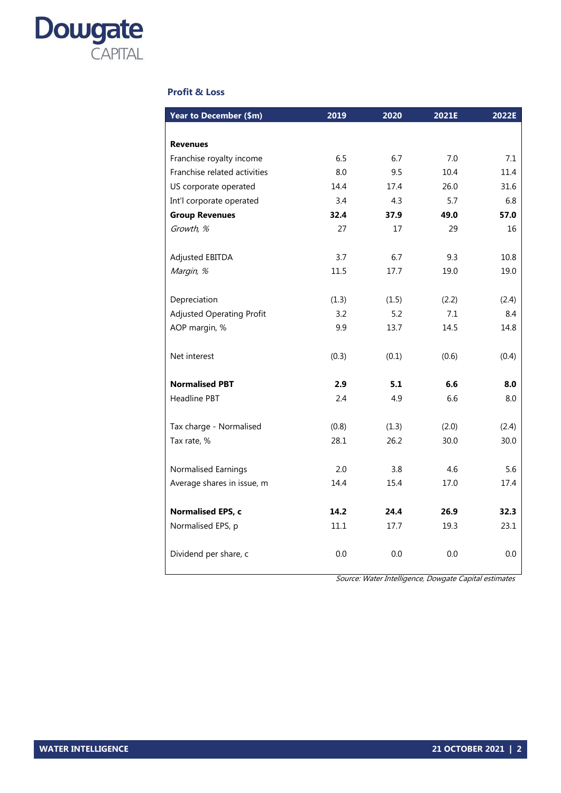

## **Profit & Loss**

| Year to December (\$m)           | 2019  | 2020  | 2021E | 2022E |
|----------------------------------|-------|-------|-------|-------|
|                                  |       |       |       |       |
| <b>Revenues</b>                  |       |       |       |       |
| Franchise royalty income         | 6.5   | 6.7   | 7.0   | 7.1   |
| Franchise related activities     | 8.0   | 9.5   | 10.4  | 11.4  |
| US corporate operated            | 14.4  | 17.4  | 26.0  | 31.6  |
| Int'l corporate operated         | 3.4   | 4.3   | 5.7   | 6.8   |
| <b>Group Revenues</b>            | 32.4  | 37.9  | 49.0  | 57.0  |
| Growth, %                        | 27    | 17    | 29    | 16    |
| <b>Adjusted EBITDA</b>           | 3.7   | 6.7   | 9.3   | 10.8  |
| Margin, %                        | 11.5  | 17.7  | 19.0  | 19.0  |
| Depreciation                     | (1.3) | (1.5) | (2.2) | (2.4) |
| <b>Adjusted Operating Profit</b> | 3.2   | 5.2   | 7.1   | 8.4   |
| AOP margin, %                    | 9.9   | 13.7  | 14.5  | 14.8  |
|                                  |       |       |       |       |
| Net interest                     | (0.3) | (0.1) | (0.6) | (0.4) |
| <b>Normalised PBT</b>            | 2.9   | 5.1   | 6.6   | 8.0   |
| Headline PBT                     | 2.4   | 4.9   | 6.6   | 8.0   |
| Tax charge - Normalised          | (0.8) | (1.3) | (2.0) | (2.4) |
| Tax rate, %                      | 28.1  | 26.2  | 30.0  | 30.0  |
| Normalised Earnings              | 2.0   | 3.8   | 4.6   | 5.6   |
| Average shares in issue, m       | 14.4  | 15.4  | 17.0  | 17.4  |
|                                  |       |       |       |       |
| Normalised EPS, c                | 14.2  | 24.4  | 26.9  | 32.3  |
| Normalised EPS, p                | 11.1  | 17.7  | 19.3  | 23.1  |
| Dividend per share, c            | 0.0   | 0.0   | 0.0   | 0.0   |

Source: Water Intelligence, Dowgate Capital estimates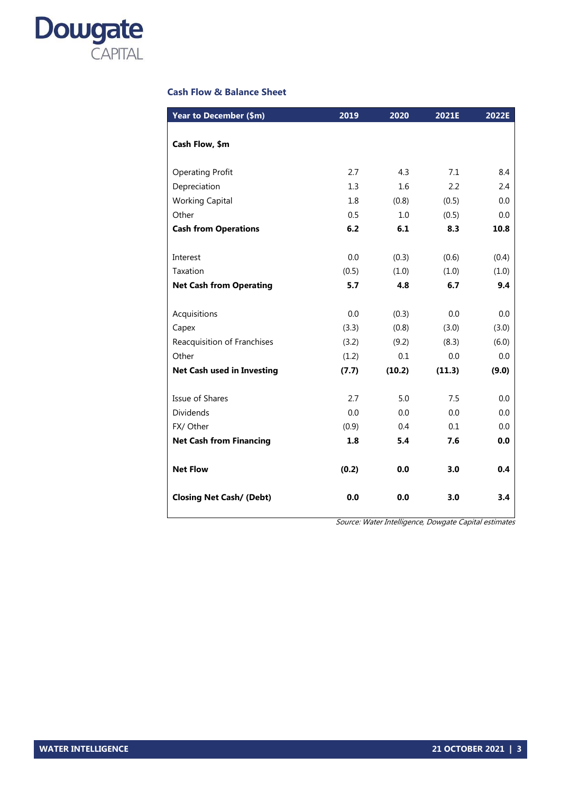

## **Cash Flow & Balance Sheet**

|       |                          |                            | 8.4                          |
|-------|--------------------------|----------------------------|------------------------------|
|       |                          |                            | 2.4                          |
|       |                          |                            | 0.0                          |
|       |                          |                            | 0.0                          |
| 6.2   | 6.1                      | 8.3                        | 10.8                         |
|       |                          |                            |                              |
| 0.0   | (0.3)                    | (0.6)                      | (0.4)                        |
| (0.5) | (1.0)                    | (1.0)                      | (1.0)                        |
| 5.7   | 4.8                      | 6.7                        | 9.4                          |
|       |                          |                            |                              |
| 0.0   | (0.3)                    | 0.0                        | 0.0                          |
| (3.3) | (0.8)                    | (3.0)                      | (3.0)                        |
| (3.2) | (9.2)                    | (8.3)                      | (6.0)                        |
| (1.2) | 0.1                      | 0.0                        | 0.0                          |
| (7.7) | (10.2)                   | (11.3)                     | (9.0)                        |
|       |                          |                            |                              |
| 2.7   | 5.0                      | 7.5                        | 0.0                          |
| 0.0   | 0.0                      | 0.0                        | 0.0                          |
| (0.9) | 0.4                      | 0.1                        | 0.0                          |
| 1.8   | 5.4                      | 7.6                        | 0.0                          |
|       |                          |                            |                              |
| (0.2) | 0.0                      | 3.0                        | 0.4                          |
| 0.0   | 0.0                      | 3.0                        | 3.4                          |
|       | 2.7<br>1.3<br>1.8<br>0.5 | 4.3<br>1.6<br>(0.8)<br>1.0 | 7.1<br>2.2<br>(0.5)<br>(0.5) |

Source: Water Intelligence, Dowgate Capital estimates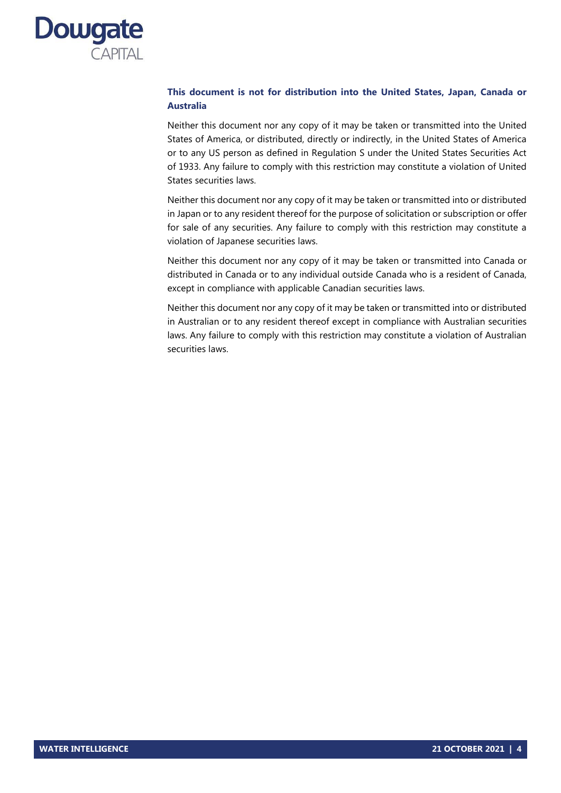

## **This document is not for distribution into the United States, Japan, Canada or Australia**

Neither this document nor any copy of it may be taken or transmitted into the United States of America, or distributed, directly or indirectly, in the United States of America or to any US person as defined in Regulation S under the United States Securities Act of 1933. Any failure to comply with this restriction may constitute a violation of United States securities laws.

Neither this document nor any copy of it may be taken or transmitted into or distributed in Japan or to any resident thereof for the purpose of solicitation or subscription or offer for sale of any securities. Any failure to comply with this restriction may constitute a violation of Japanese securities laws.

Neither this document nor any copy of it may be taken or transmitted into Canada or distributed in Canada or to any individual outside Canada who is a resident of Canada, except in compliance with applicable Canadian securities laws.

Neither this document nor any copy of it may be taken or transmitted into or distributed in Australian or to any resident thereof except in compliance with Australian securities laws. Any failure to comply with this restriction may constitute a violation of Australian securities laws.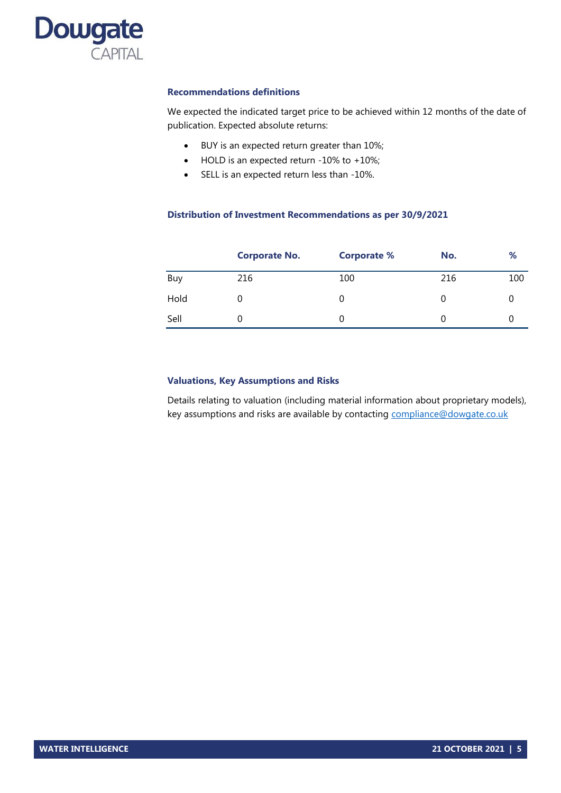

## **Recommendations definitions**

We expected the indicated target price to be achieved within 12 months of the date of publication. Expected absolute returns:

- BUY is an expected return greater than 10%;
- HOLD is an expected return -10% to +10%;
- SELL is an expected return less than -10%.

## **Distribution of Investment Recommendations as per 30/9/2021**

|      | <b>Corporate No.</b> | <b>Corporate %</b> | No. | %   |
|------|----------------------|--------------------|-----|-----|
| Buy  | 216                  | 100                | 216 | 100 |
| Hold |                      | 0                  | 0   |     |
| Sell |                      | 0                  |     |     |

## **Valuations, Key Assumptions and Risks**

Details relating to valuation (including material information about proprietary models), key assumptions and risks are available by contacting compliance@dowgate.co.uk